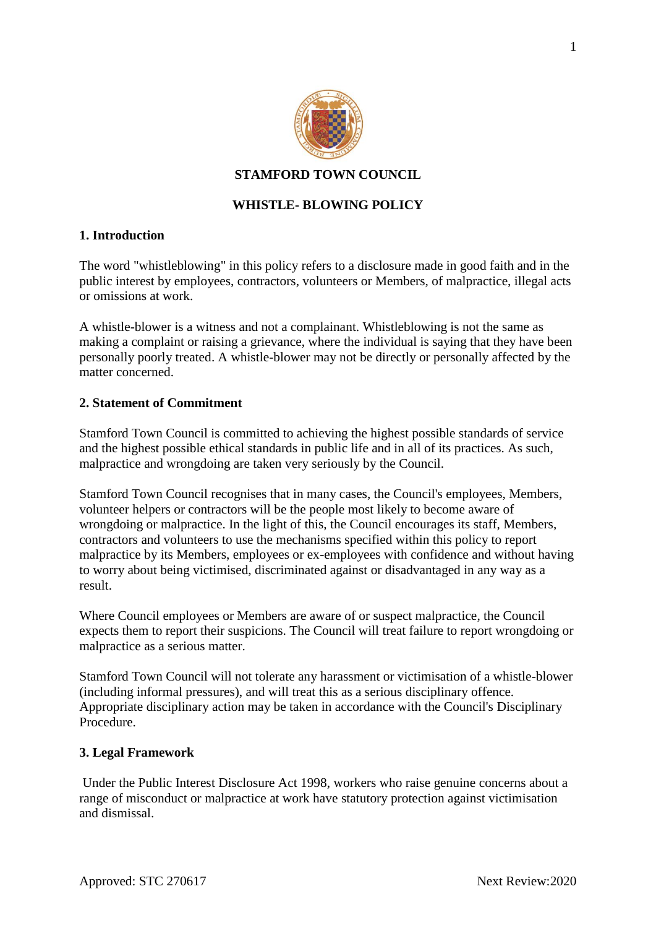

### **STAMFORD TOWN COUNCIL**

## **WHISTLE- BLOWING POLICY**

### **1. Introduction**

The word "whistleblowing" in this policy refers to a disclosure made in good faith and in the public interest by employees, contractors, volunteers or Members, of malpractice, illegal acts or omissions at work.

A whistle-blower is a witness and not a complainant. Whistleblowing is not the same as making a complaint or raising a grievance, where the individual is saying that they have been personally poorly treated. A whistle-blower may not be directly or personally affected by the matter concerned.

### **2. Statement of Commitment**

Stamford Town Council is committed to achieving the highest possible standards of service and the highest possible ethical standards in public life and in all of its practices. As such, malpractice and wrongdoing are taken very seriously by the Council.

Stamford Town Council recognises that in many cases, the Council's employees, Members, volunteer helpers or contractors will be the people most likely to become aware of wrongdoing or malpractice. In the light of this, the Council encourages its staff, Members, contractors and volunteers to use the mechanisms specified within this policy to report malpractice by its Members, employees or ex-employees with confidence and without having to worry about being victimised, discriminated against or disadvantaged in any way as a result.

Where Council employees or Members are aware of or suspect malpractice, the Council expects them to report their suspicions. The Council will treat failure to report wrongdoing or malpractice as a serious matter.

Stamford Town Council will not tolerate any harassment or victimisation of a whistle-blower (including informal pressures), and will treat this as a serious disciplinary offence. Appropriate disciplinary action may be taken in accordance with the Council's Disciplinary Procedure.

### **3. Legal Framework**

Under the Public Interest Disclosure Act 1998, workers who raise genuine concerns about a range of misconduct or malpractice at work have statutory protection against victimisation and dismissal.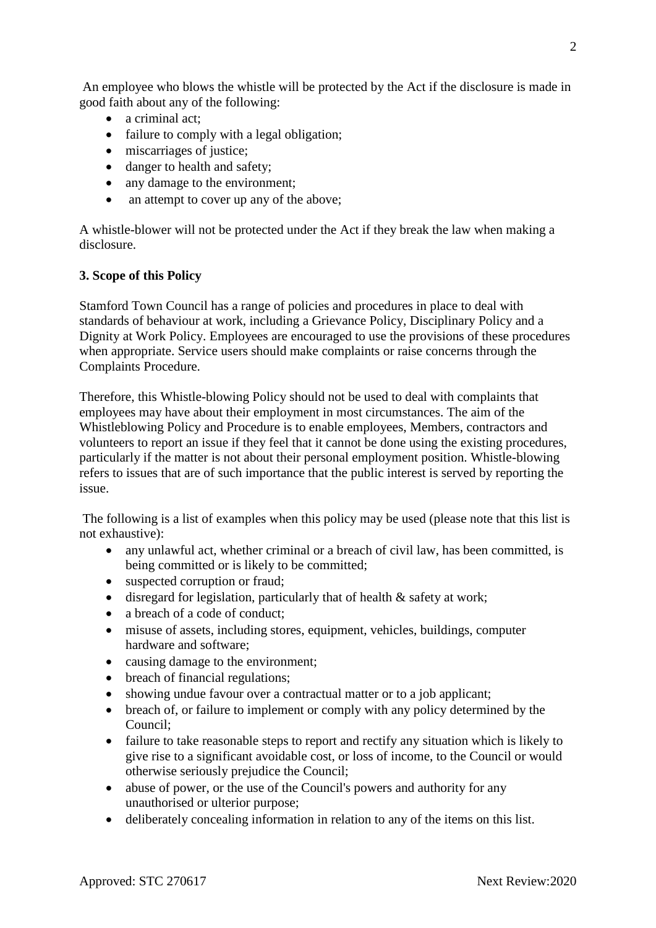An employee who blows the whistle will be protected by the Act if the disclosure is made in good faith about any of the following:

- a criminal act:
- failure to comply with a legal obligation;
- miscarriages of justice:
- danger to health and safety;
- any damage to the environment;
- an attempt to cover up any of the above:

A whistle-blower will not be protected under the Act if they break the law when making a disclosure.

# **3. Scope of this Policy**

Stamford Town Council has a range of policies and procedures in place to deal with standards of behaviour at work, including a Grievance Policy, Disciplinary Policy and a Dignity at Work Policy. Employees are encouraged to use the provisions of these procedures when appropriate. Service users should make complaints or raise concerns through the Complaints Procedure.

Therefore, this Whistle-blowing Policy should not be used to deal with complaints that employees may have about their employment in most circumstances. The aim of the Whistleblowing Policy and Procedure is to enable employees, Members, contractors and volunteers to report an issue if they feel that it cannot be done using the existing procedures, particularly if the matter is not about their personal employment position. Whistle-blowing refers to issues that are of such importance that the public interest is served by reporting the issue.

The following is a list of examples when this policy may be used (please note that this list is not exhaustive):

- any unlawful act, whether criminal or a breach of civil law, has been committed, is being committed or is likely to be committed;
- suspected corruption or fraud;
- $\bullet$  disregard for legislation, particularly that of health  $\&$  safety at work;
- a breach of a code of conduct;
- misuse of assets, including stores, equipment, vehicles, buildings, computer hardware and software;
- causing damage to the environment;
- breach of financial regulations;
- showing undue favour over a contractual matter or to a job applicant;
- breach of, or failure to implement or comply with any policy determined by the Council;
- failure to take reasonable steps to report and rectify any situation which is likely to give rise to a significant avoidable cost, or loss of income, to the Council or would otherwise seriously prejudice the Council;
- abuse of power, or the use of the Council's powers and authority for any unauthorised or ulterior purpose;
- deliberately concealing information in relation to any of the items on this list.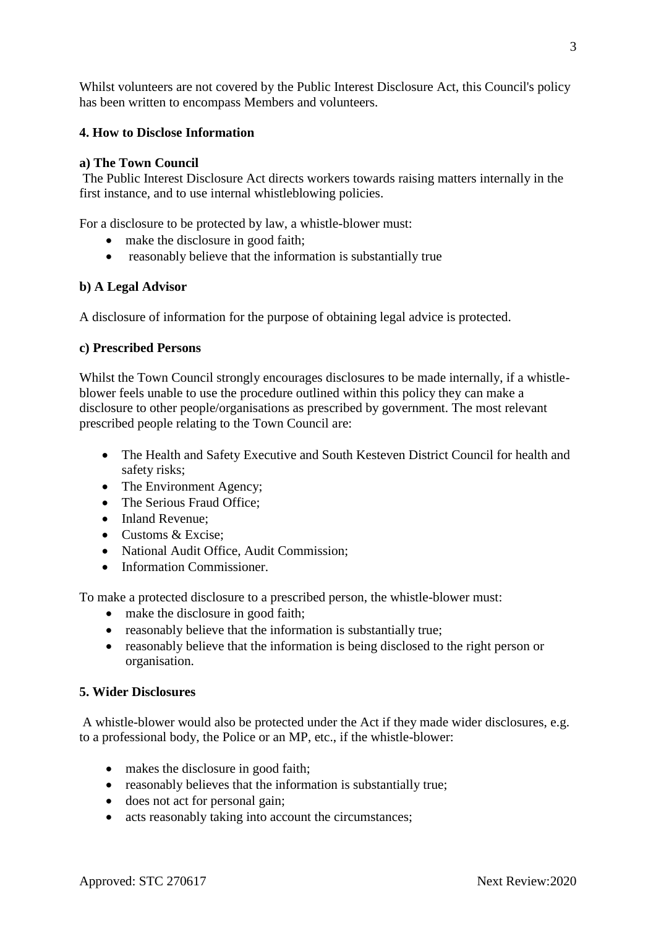Whilst volunteers are not covered by the Public Interest Disclosure Act, this Council's policy has been written to encompass Members and volunteers.

# **4. How to Disclose Information**

## **a) The Town Council**

The Public Interest Disclosure Act directs workers towards raising matters internally in the first instance, and to use internal whistleblowing policies.

For a disclosure to be protected by law, a whistle-blower must:

- make the disclosure in good faith;
- reasonably believe that the information is substantially true

## **b) A Legal Advisor**

A disclosure of information for the purpose of obtaining legal advice is protected.

### **c) Prescribed Persons**

Whilst the Town Council strongly encourages disclosures to be made internally, if a whistleblower feels unable to use the procedure outlined within this policy they can make a disclosure to other people/organisations as prescribed by government. The most relevant prescribed people relating to the Town Council are:

- The Health and Safety Executive and South Kesteven District Council for health and safety risks;
- The Environment Agency;
- The Serious Fraud Office:
- Inland Revenue:
- Customs & Excise:
- National Audit Office, Audit Commission;
- Information Commissioner.

To make a protected disclosure to a prescribed person, the whistle-blower must:

- make the disclosure in good faith;
- reasonably believe that the information is substantially true;
- reasonably believe that the information is being disclosed to the right person or organisation.

### **5. Wider Disclosures**

A whistle-blower would also be protected under the Act if they made wider disclosures, e.g. to a professional body, the Police or an MP, etc., if the whistle-blower:

- makes the disclosure in good faith;
- reasonably believes that the information is substantially true;
- does not act for personal gain;
- acts reasonably taking into account the circumstances;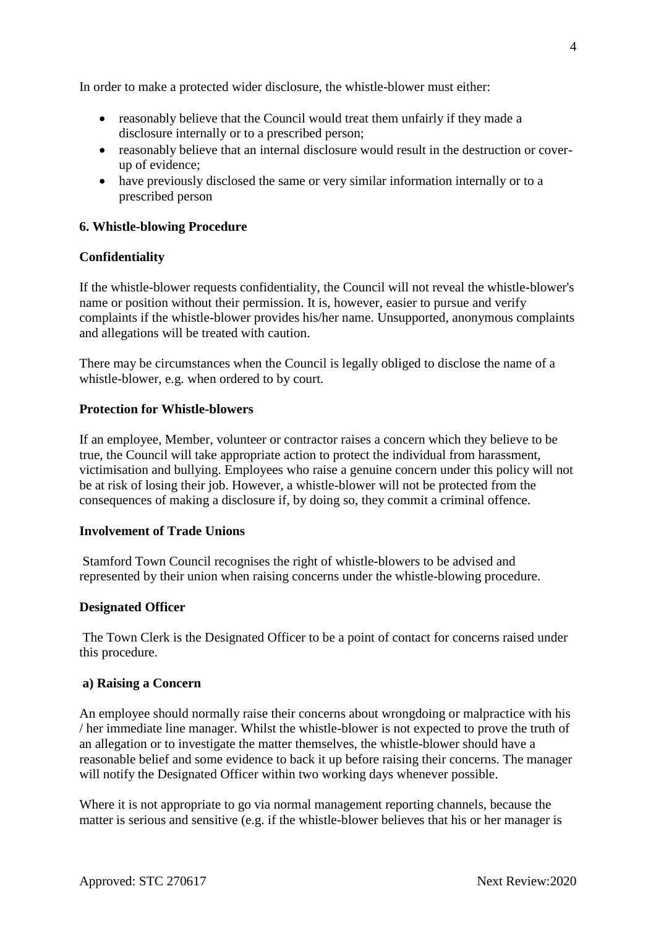In order to make a protected wider disclosure, the whistle-blower must either:

- reasonably believe that the Council would treat them unfairly if they made a disclosure internally or to a prescribed person;
- reasonably believe that an internal disclosure would result in the destruction or coverup of evidence;
- have previously disclosed the same or very similar information internally or to a prescribed person

### **6. Whistle-blowing Procedure**

### **Confidentiality**

If the whistle-blower requests confidentiality, the Council will not reveal the whistle-blower's name or position without their permission. It is, however, easier to pursue and verify complaints if the whistle-blower provides his/her name. Unsupported, anonymous complaints and allegations will be treated with caution.

There may be circumstances when the Council is legally obliged to disclose the name of a whistle-blower, e.g. when ordered to by court.

### **Protection for Whistle-blowers**

If an employee, Member, volunteer or contractor raises a concern which they believe to be true, the Council will take appropriate action to protect the individual from harassment, victimisation and bullying. Employees who raise a genuine concern under this policy will not be at risk of losing their job. However, a whistle-blower will not be protected from the consequences of making a disclosure if, by doing so, they commit a criminal offence.

#### **Involvement of Trade Unions**

Stamford Town Council recognises the right of whistle-blowers to be advised and represented by their union when raising concerns under the whistle-blowing procedure.

#### **Designated Officer**

The Town Clerk is the Designated Officer to be a point of contact for concerns raised under this procedure.

#### **a) Raising a Concern**

An employee should normally raise their concerns about wrongdoing or malpractice with his / her immediate line manager. Whilst the whistle-blower is not expected to prove the truth of an allegation or to investigate the matter themselves, the whistle-blower should have a reasonable belief and some evidence to back it up before raising their concerns. The manager will notify the Designated Officer within two working days whenever possible.

Where it is not appropriate to go via normal management reporting channels, because the matter is serious and sensitive (e.g. if the whistle-blower believes that his or her manager is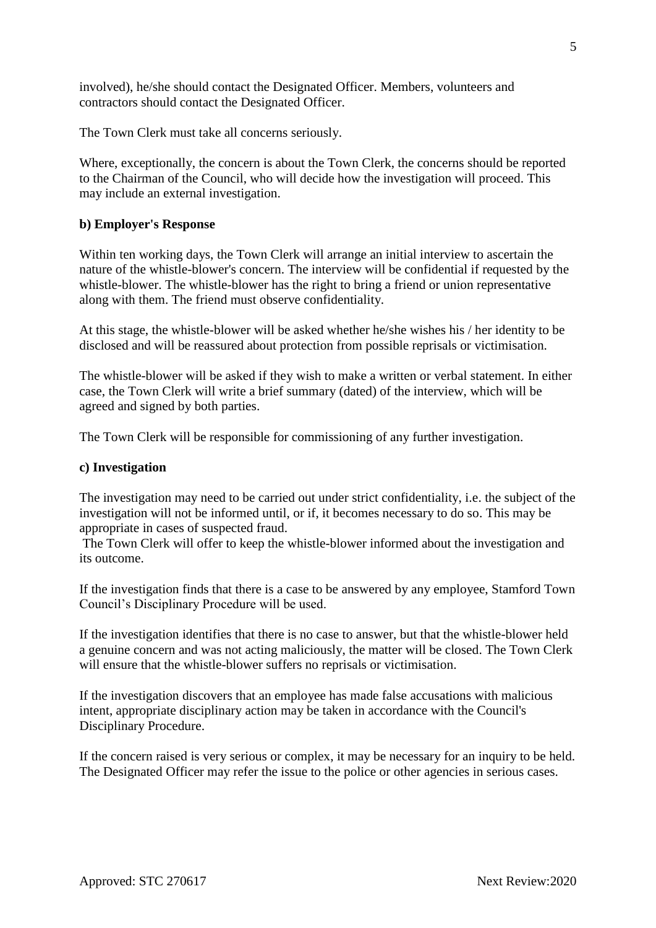involved), he/she should contact the Designated Officer. Members, volunteers and contractors should contact the Designated Officer.

The Town Clerk must take all concerns seriously.

Where, exceptionally, the concern is about the Town Clerk, the concerns should be reported to the Chairman of the Council, who will decide how the investigation will proceed. This may include an external investigation.

### **b) Employer's Response**

Within ten working days, the Town Clerk will arrange an initial interview to ascertain the nature of the whistle-blower's concern. The interview will be confidential if requested by the whistle-blower. The whistle-blower has the right to bring a friend or union representative along with them. The friend must observe confidentiality.

At this stage, the whistle-blower will be asked whether he/she wishes his / her identity to be disclosed and will be reassured about protection from possible reprisals or victimisation.

The whistle-blower will be asked if they wish to make a written or verbal statement. In either case, the Town Clerk will write a brief summary (dated) of the interview, which will be agreed and signed by both parties.

The Town Clerk will be responsible for commissioning of any further investigation.

#### **c) Investigation**

The investigation may need to be carried out under strict confidentiality, i.e. the subject of the investigation will not be informed until, or if, it becomes necessary to do so. This may be appropriate in cases of suspected fraud.

The Town Clerk will offer to keep the whistle-blower informed about the investigation and its outcome.

If the investigation finds that there is a case to be answered by any employee, Stamford Town Council's Disciplinary Procedure will be used.

If the investigation identifies that there is no case to answer, but that the whistle-blower held a genuine concern and was not acting maliciously, the matter will be closed. The Town Clerk will ensure that the whistle-blower suffers no reprisals or victimisation.

If the investigation discovers that an employee has made false accusations with malicious intent, appropriate disciplinary action may be taken in accordance with the Council's Disciplinary Procedure.

If the concern raised is very serious or complex, it may be necessary for an inquiry to be held. The Designated Officer may refer the issue to the police or other agencies in serious cases.